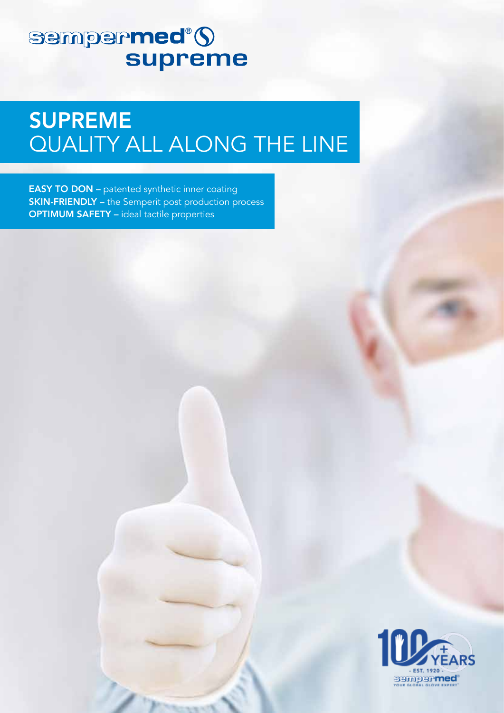## sempermed®5 **supreme**

# **SUPREME** QUALITY ALL ALONG THE LINE

**EASY TO DON - patented synthetic inner coating SKIN-FRIENDLY** - the Semperit post production process **OPTIMUM SAFETY - ideal tactile properties**